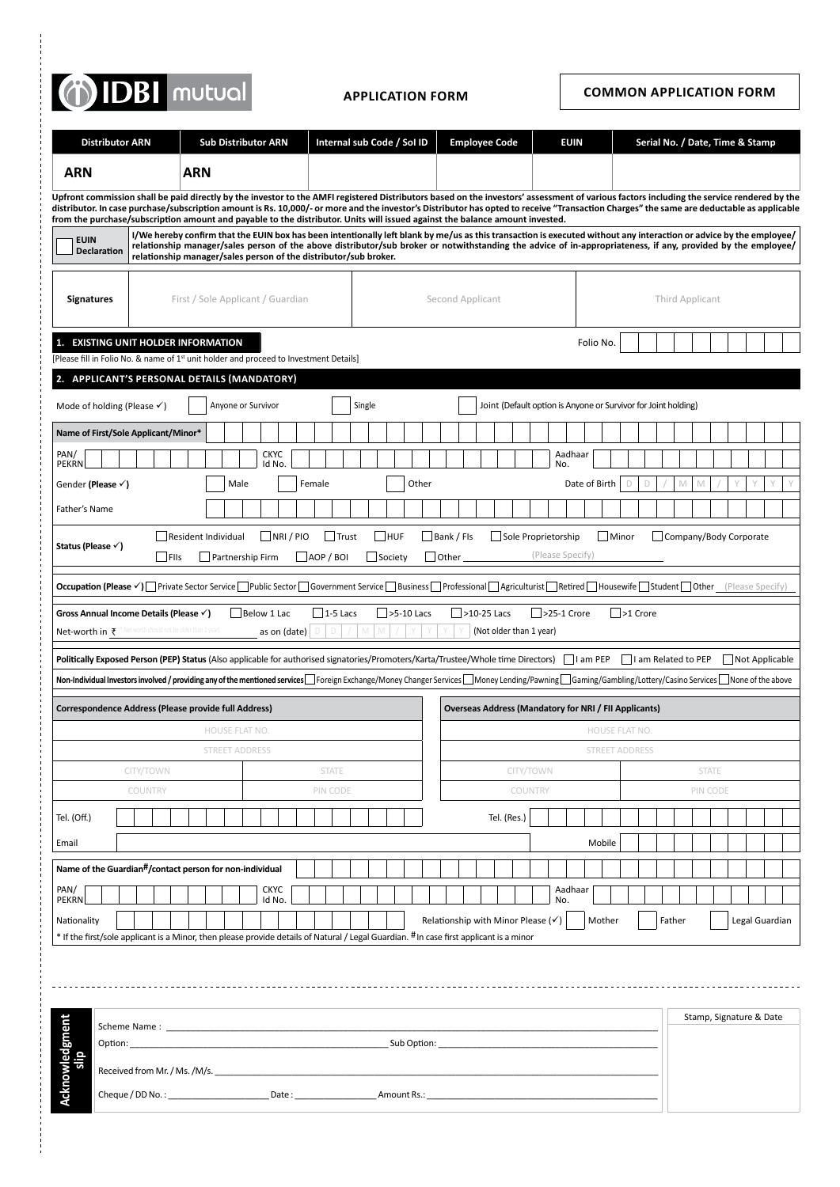# (1) IDBI mutual

**Application Form COMMON APPLICATION FORM**

|                                                                                                                                                                                                                                                                                                                                                                                                                                                                                                                        | <b>Distributor ARN</b>                                           |                                                                                                                                                                                                                                                                                                                                     |                     |                                   | <b>Sub Distributor ARN</b> |      |  |                       |  |         |        | Internal sub Code / Sol ID |                                                                |            |              |  |                                                              |  | <b>Employee Code</b>    |  |                      |  |                  |     | <b>EUIN</b>     |  |               |       |                       |   |        |   |                        |              |  | Serial No. / Date, Time & Stamp |                |  |
|------------------------------------------------------------------------------------------------------------------------------------------------------------------------------------------------------------------------------------------------------------------------------------------------------------------------------------------------------------------------------------------------------------------------------------------------------------------------------------------------------------------------|------------------------------------------------------------------|-------------------------------------------------------------------------------------------------------------------------------------------------------------------------------------------------------------------------------------------------------------------------------------------------------------------------------------|---------------------|-----------------------------------|----------------------------|------|--|-----------------------|--|---------|--------|----------------------------|----------------------------------------------------------------|------------|--------------|--|--------------------------------------------------------------|--|-------------------------|--|----------------------|--|------------------|-----|-----------------|--|---------------|-------|-----------------------|---|--------|---|------------------------|--------------|--|---------------------------------|----------------|--|
|                                                                                                                                                                                                                                                                                                                                                                                                                                                                                                                        |                                                                  |                                                                                                                                                                                                                                                                                                                                     |                     |                                   |                            |      |  |                       |  |         |        |                            |                                                                |            |              |  |                                                              |  |                         |  |                      |  |                  |     |                 |  |               |       |                       |   |        |   |                        |              |  |                                 |                |  |
| <b>ARN</b>                                                                                                                                                                                                                                                                                                                                                                                                                                                                                                             |                                                                  |                                                                                                                                                                                                                                                                                                                                     |                     | <b>ARN</b>                        |                            |      |  |                       |  |         |        |                            |                                                                |            |              |  |                                                              |  |                         |  |                      |  |                  |     |                 |  |               |       |                       |   |        |   |                        |              |  |                                 |                |  |
| Upfront commission shall be paid directly by the investor to the AMFI registered Distributors based on the investors' assessment of various factors including the service rendered by the<br>distributor. In case purchase/subscription amount is Rs. 10,000/- or more and the investor's Distributor has opted to receive "Transaction Charges" the same are deductable as applicable<br>from the purchase/subscription amount and payable to the distributor. Units will issued against the balance amount invested. |                                                                  |                                                                                                                                                                                                                                                                                                                                     |                     |                                   |                            |      |  |                       |  |         |        |                            |                                                                |            |              |  |                                                              |  |                         |  |                      |  |                  |     |                 |  |               |       |                       |   |        |   |                        |              |  |                                 |                |  |
| <b>EUIN</b>                                                                                                                                                                                                                                                                                                                                                                                                                                                                                                            |                                                                  | I/We hereby confirm that the EUIN box has been intentionally left blank by me/us as this transaction is executed without any interaction or advice by the employee/<br>relationship manager/sales person of the above distributor/sub broker or notwithstanding the advice of in-appropriateness, if any, provided by the employee/ |                     |                                   |                            |      |  |                       |  |         |        |                            |                                                                |            |              |  |                                                              |  |                         |  |                      |  |                  |     |                 |  |               |       |                       |   |        |   |                        |              |  |                                 |                |  |
|                                                                                                                                                                                                                                                                                                                                                                                                                                                                                                                        | <b>Declaration</b>                                               | relationship manager/sales person of the distributor/sub broker.                                                                                                                                                                                                                                                                    |                     |                                   |                            |      |  |                       |  |         |        |                            |                                                                |            |              |  |                                                              |  |                         |  |                      |  |                  |     |                 |  |               |       |                       |   |        |   |                        |              |  |                                 |                |  |
|                                                                                                                                                                                                                                                                                                                                                                                                                                                                                                                        |                                                                  |                                                                                                                                                                                                                                                                                                                                     |                     |                                   |                            |      |  |                       |  |         |        |                            |                                                                |            |              |  | Second Applicant                                             |  |                         |  |                      |  |                  |     |                 |  |               |       |                       |   |        |   | Third Applicant        |              |  |                                 |                |  |
| <b>Signatures</b>                                                                                                                                                                                                                                                                                                                                                                                                                                                                                                      |                                                                  |                                                                                                                                                                                                                                                                                                                                     |                     | First / Sole Applicant / Guardian |                            |      |  |                       |  |         |        |                            |                                                                |            |              |  |                                                              |  |                         |  |                      |  |                  |     |                 |  |               |       |                       |   |        |   |                        |              |  |                                 |                |  |
| 1. EXISTING UNIT HOLDER INFORMATION                                                                                                                                                                                                                                                                                                                                                                                                                                                                                    |                                                                  |                                                                                                                                                                                                                                                                                                                                     |                     |                                   |                            |      |  |                       |  |         |        |                            |                                                                |            |              |  |                                                              |  |                         |  |                      |  |                  |     |                 |  | Folio No.     |       |                       |   |        |   |                        |              |  |                                 |                |  |
| [Please fill in Folio No. & name of 1 <sup>st</sup> unit holder and proceed to Investment Details]                                                                                                                                                                                                                                                                                                                                                                                                                     |                                                                  |                                                                                                                                                                                                                                                                                                                                     |                     |                                   |                            |      |  |                       |  |         |        |                            |                                                                |            |              |  |                                                              |  |                         |  |                      |  |                  |     |                 |  |               |       |                       |   |        |   |                        |              |  |                                 |                |  |
| 2. APPLICANT'S PERSONAL DETAILS (MANDATORY)                                                                                                                                                                                                                                                                                                                                                                                                                                                                            |                                                                  |                                                                                                                                                                                                                                                                                                                                     |                     |                                   |                            |      |  |                       |  |         |        |                            |                                                                |            |              |  |                                                              |  |                         |  |                      |  |                  |     |                 |  |               |       |                       |   |        |   |                        |              |  |                                 |                |  |
| Mode of holding (Please $\checkmark$ )<br>Anyone or Survivor<br>Single                                                                                                                                                                                                                                                                                                                                                                                                                                                 |                                                                  |                                                                                                                                                                                                                                                                                                                                     |                     |                                   |                            |      |  |                       |  |         |        |                            | Joint (Default option is Anyone or Survivor for Joint holding) |            |              |  |                                                              |  |                         |  |                      |  |                  |     |                 |  |               |       |                       |   |        |   |                        |              |  |                                 |                |  |
| Name of First/Sole Applicant/Minor*                                                                                                                                                                                                                                                                                                                                                                                                                                                                                    |                                                                  |                                                                                                                                                                                                                                                                                                                                     |                     |                                   |                            |      |  |                       |  |         |        |                            |                                                                |            |              |  |                                                              |  |                         |  |                      |  |                  |     |                 |  |               |       |                       |   |        |   |                        |              |  |                                 |                |  |
| PAN/<br><b>PEKRN</b>                                                                                                                                                                                                                                                                                                                                                                                                                                                                                                   |                                                                  |                                                                                                                                                                                                                                                                                                                                     |                     |                                   |                            |      |  | <b>CKYC</b><br>Id No. |  |         |        |                            |                                                                |            |              |  |                                                              |  |                         |  |                      |  |                  | No. | Aadhaar         |  |               |       |                       |   |        |   |                        |              |  |                                 |                |  |
| Gender (Please √)                                                                                                                                                                                                                                                                                                                                                                                                                                                                                                      |                                                                  |                                                                                                                                                                                                                                                                                                                                     |                     |                                   |                            | Male |  |                       |  |         | Female |                            |                                                                |            | Other        |  |                                                              |  |                         |  |                      |  |                  |     |                 |  | Date of Birth |       | D                     | D |        | M |                        |              |  |                                 |                |  |
| Father's Name                                                                                                                                                                                                                                                                                                                                                                                                                                                                                                          |                                                                  |                                                                                                                                                                                                                                                                                                                                     |                     |                                   |                            |      |  |                       |  |         |        |                            |                                                                |            |              |  |                                                              |  |                         |  |                      |  |                  |     |                 |  |               |       |                       |   |        |   |                        |              |  |                                 |                |  |
|                                                                                                                                                                                                                                                                                                                                                                                                                                                                                                                        |                                                                  |                                                                                                                                                                                                                                                                                                                                     | Resident Individual |                                   |                            |      |  |                       |  | NRI/PIO |        | Trust                      |                                                                | <b>HUF</b> |              |  | Bank / Fls                                                   |  |                         |  | Sole Proprietorship  |  |                  |     |                 |  |               | Minor |                       |   |        |   | Company/Body Corporate |              |  |                                 |                |  |
| Status (Please √)                                                                                                                                                                                                                                                                                                                                                                                                                                                                                                      |                                                                  |                                                                                                                                                                                                                                                                                                                                     | ∣ ∣FIIs             |                                   | Partnership Firm           |      |  |                       |  |         |        | $ $ $ $ AOP / BOI          |                                                                | Society    |              |  | $\Box$ Other                                                 |  |                         |  |                      |  | (Please Specify) |     |                 |  |               |       |                       |   |        |   |                        |              |  |                                 |                |  |
| Occupation (Please V) Private Sector Service Public Sector Government Service Business Professional Agriculturist Retired Housewife Student Other (Please Specify)                                                                                                                                                                                                                                                                                                                                                     |                                                                  |                                                                                                                                                                                                                                                                                                                                     |                     |                                   |                            |      |  |                       |  |         |        |                            |                                                                |            |              |  |                                                              |  |                         |  |                      |  |                  |     |                 |  |               |       |                       |   |        |   |                        |              |  |                                 |                |  |
| Gross Annual Income Details (Please √)                                                                                                                                                                                                                                                                                                                                                                                                                                                                                 |                                                                  |                                                                                                                                                                                                                                                                                                                                     |                     |                                   |                            |      |  | Below 1 Lac           |  |         |        | $ 1-5$ Lacs                |                                                                |            | $>5-10$ Lacs |  |                                                              |  | $\sqrt{$ >10-25 Lacs    |  |                      |  | $>25-1$ Crore    |     |                 |  |               |       | $\Box$ >1 Crore       |   |        |   |                        |              |  |                                 |                |  |
| Net-worth in $\bar{\tau}$ (* Net worth should not be older than 1 year)                                                                                                                                                                                                                                                                                                                                                                                                                                                |                                                                  |                                                                                                                                                                                                                                                                                                                                     |                     |                                   |                            |      |  | as on (date)          |  |         |        |                            |                                                                |            |              |  |                                                              |  | (Not older than 1 year) |  |                      |  |                  |     |                 |  |               |       |                       |   |        |   |                        |              |  |                                 |                |  |
| Politically Exposed Person (PEP) Status (Also applicable for authorised signatories/Promoters/Karta/Trustee/Whole time Directors)                                                                                                                                                                                                                                                                                                                                                                                      |                                                                  |                                                                                                                                                                                                                                                                                                                                     |                     |                                   |                            |      |  |                       |  |         |        |                            |                                                                |            |              |  |                                                              |  |                         |  |                      |  |                  |     | $\Box$ I am PEP |  |               |       |                       |   |        |   | I am Related to PEP    |              |  |                                 | Not Applicable |  |
| Non-Individual Investors involved / providing any of the mentioned services Foreign Exchange/Money Changer Services Money Lending/Pawning Gaming/Gambling/Lottery/Casino Services Mone of the above                                                                                                                                                                                                                                                                                                                    |                                                                  |                                                                                                                                                                                                                                                                                                                                     |                     |                                   |                            |      |  |                       |  |         |        |                            |                                                                |            |              |  |                                                              |  |                         |  |                      |  |                  |     |                 |  |               |       |                       |   |        |   |                        |              |  |                                 |                |  |
| Correspondence Address (Please provide full Address)                                                                                                                                                                                                                                                                                                                                                                                                                                                                   |                                                                  |                                                                                                                                                                                                                                                                                                                                     |                     |                                   |                            |      |  |                       |  |         |        |                            |                                                                |            |              |  | <b>Overseas Address (Mandatory for NRI / FII Applicants)</b> |  |                         |  |                      |  |                  |     |                 |  |               |       |                       |   |        |   |                        |              |  |                                 |                |  |
|                                                                                                                                                                                                                                                                                                                                                                                                                                                                                                                        |                                                                  |                                                                                                                                                                                                                                                                                                                                     |                     |                                   | HOUSE FLAT NO.             |      |  |                       |  |         |        |                            |                                                                |            |              |  |                                                              |  |                         |  |                      |  |                  |     |                 |  |               |       | <b>HOUSE FLAT NO.</b> |   |        |   |                        |              |  |                                 |                |  |
|                                                                                                                                                                                                                                                                                                                                                                                                                                                                                                                        |                                                                  |                                                                                                                                                                                                                                                                                                                                     |                     |                                   | <b>STREET ADDRESS</b>      |      |  |                       |  |         |        |                            |                                                                |            |              |  |                                                              |  |                         |  |                      |  |                  |     |                 |  |               |       | <b>STREET ADDRESS</b> |   |        |   |                        |              |  |                                 |                |  |
|                                                                                                                                                                                                                                                                                                                                                                                                                                                                                                                        |                                                                  | CITY/TOWN<br>COUNTRY                                                                                                                                                                                                                                                                                                                |                     |                                   |                            |      |  |                       |  |         |        | <b>STATE</b><br>PIN CODE   |                                                                |            |              |  |                                                              |  |                         |  | CITY/TOWN<br>COUNTRY |  |                  |     |                 |  |               |       |                       |   |        |   | PIN CODE               | <b>STATE</b> |  |                                 |                |  |
| Tel. (Off.)                                                                                                                                                                                                                                                                                                                                                                                                                                                                                                            |                                                                  |                                                                                                                                                                                                                                                                                                                                     |                     |                                   |                            |      |  |                       |  |         |        |                            |                                                                |            |              |  |                                                              |  |                         |  | Tel. (Res.)          |  |                  |     |                 |  |               |       |                       |   |        |   |                        |              |  |                                 |                |  |
| Email                                                                                                                                                                                                                                                                                                                                                                                                                                                                                                                  |                                                                  |                                                                                                                                                                                                                                                                                                                                     |                     |                                   |                            |      |  |                       |  |         |        |                            |                                                                |            |              |  |                                                              |  |                         |  |                      |  |                  |     |                 |  | Mobile        |       |                       |   |        |   |                        |              |  |                                 |                |  |
|                                                                                                                                                                                                                                                                                                                                                                                                                                                                                                                        |                                                                  |                                                                                                                                                                                                                                                                                                                                     |                     |                                   |                            |      |  |                       |  |         |        |                            |                                                                |            |              |  |                                                              |  |                         |  |                      |  |                  |     |                 |  |               |       |                       |   |        |   |                        |              |  |                                 |                |  |
| Name of the Guardian <sup>#</sup> /contact person for non-individual<br>PAN/                                                                                                                                                                                                                                                                                                                                                                                                                                           |                                                                  |                                                                                                                                                                                                                                                                                                                                     |                     |                                   |                            |      |  | <b>CKYC</b>           |  |         |        |                            |                                                                |            |              |  |                                                              |  |                         |  |                      |  |                  |     | Aadhaar         |  |               |       |                       |   |        |   |                        |              |  |                                 |                |  |
| <b>PEKRN</b>                                                                                                                                                                                                                                                                                                                                                                                                                                                                                                           |                                                                  |                                                                                                                                                                                                                                                                                                                                     |                     |                                   |                            |      |  | Id No.                |  |         |        |                            |                                                                |            |              |  |                                                              |  |                         |  |                      |  |                  | No. |                 |  |               |       |                       |   |        |   |                        |              |  |                                 |                |  |
| Nationality<br>* If the first/sole applicant is a Minor, then please provide details of Natural / Legal Guardian. #In case first applicant is a minor                                                                                                                                                                                                                                                                                                                                                                  |                                                                  |                                                                                                                                                                                                                                                                                                                                     |                     |                                   |                            |      |  |                       |  |         |        |                            |                                                                |            |              |  | Relationship with Minor Please $(\checkmark)$                |  |                         |  |                      |  |                  |     |                 |  | Mother        |       |                       |   | Father |   |                        |              |  |                                 | Legal Guardian |  |
|                                                                                                                                                                                                                                                                                                                                                                                                                                                                                                                        |                                                                  |                                                                                                                                                                                                                                                                                                                                     |                     |                                   |                            |      |  |                       |  |         |        |                            |                                                                |            |              |  |                                                              |  |                         |  |                      |  |                  |     |                 |  |               |       |                       |   |        |   |                        |              |  |                                 |                |  |
|                                                                                                                                                                                                                                                                                                                                                                                                                                                                                                                        |                                                                  |                                                                                                                                                                                                                                                                                                                                     |                     |                                   |                            |      |  |                       |  |         |        |                            |                                                                |            |              |  |                                                              |  |                         |  |                      |  |                  |     |                 |  |               |       |                       |   |        |   |                        |              |  |                                 |                |  |
|                                                                                                                                                                                                                                                                                                                                                                                                                                                                                                                        |                                                                  |                                                                                                                                                                                                                                                                                                                                     |                     |                                   |                            |      |  |                       |  |         |        |                            |                                                                |            |              |  |                                                              |  |                         |  |                      |  |                  |     |                 |  |               |       |                       |   |        |   |                        |              |  |                                 |                |  |
|                                                                                                                                                                                                                                                                                                                                                                                                                                                                                                                        |                                                                  | Scheme Name: The contract of the contract of the contract of the contract of the contract of the contract of the contract of the contract of the contract of the contract of the contract of the contract of the contract of t                                                                                                      |                     |                                   |                            |      |  |                       |  |         |        |                            |                                                                |            |              |  |                                                              |  |                         |  |                      |  |                  |     |                 |  |               |       |                       |   |        |   |                        |              |  | Stamp, Signature & Date         |                |  |
| alio                                                                                                                                                                                                                                                                                                                                                                                                                                                                                                                   | Option:                                                          |                                                                                                                                                                                                                                                                                                                                     |                     |                                   |                            |      |  |                       |  |         |        |                            |                                                                |            |              |  |                                                              |  |                         |  |                      |  |                  |     |                 |  |               |       |                       |   |        |   |                        |              |  |                                 |                |  |
| Acknowledgment                                                                                                                                                                                                                                                                                                                                                                                                                                                                                                         |                                                                  |                                                                                                                                                                                                                                                                                                                                     |                     |                                   |                            |      |  |                       |  |         |        |                            |                                                                |            |              |  |                                                              |  |                         |  |                      |  |                  |     |                 |  |               |       |                       |   |        |   |                        |              |  |                                 |                |  |
|                                                                                                                                                                                                                                                                                                                                                                                                                                                                                                                        | <b>Example 2018</b> Sub Option:<br>Received from Mr. / Ms. /M/s. |                                                                                                                                                                                                                                                                                                                                     |                     |                                   |                            |      |  |                       |  |         |        |                            |                                                                |            |              |  |                                                              |  |                         |  |                      |  |                  |     |                 |  |               |       |                       |   |        |   |                        |              |  |                                 |                |  |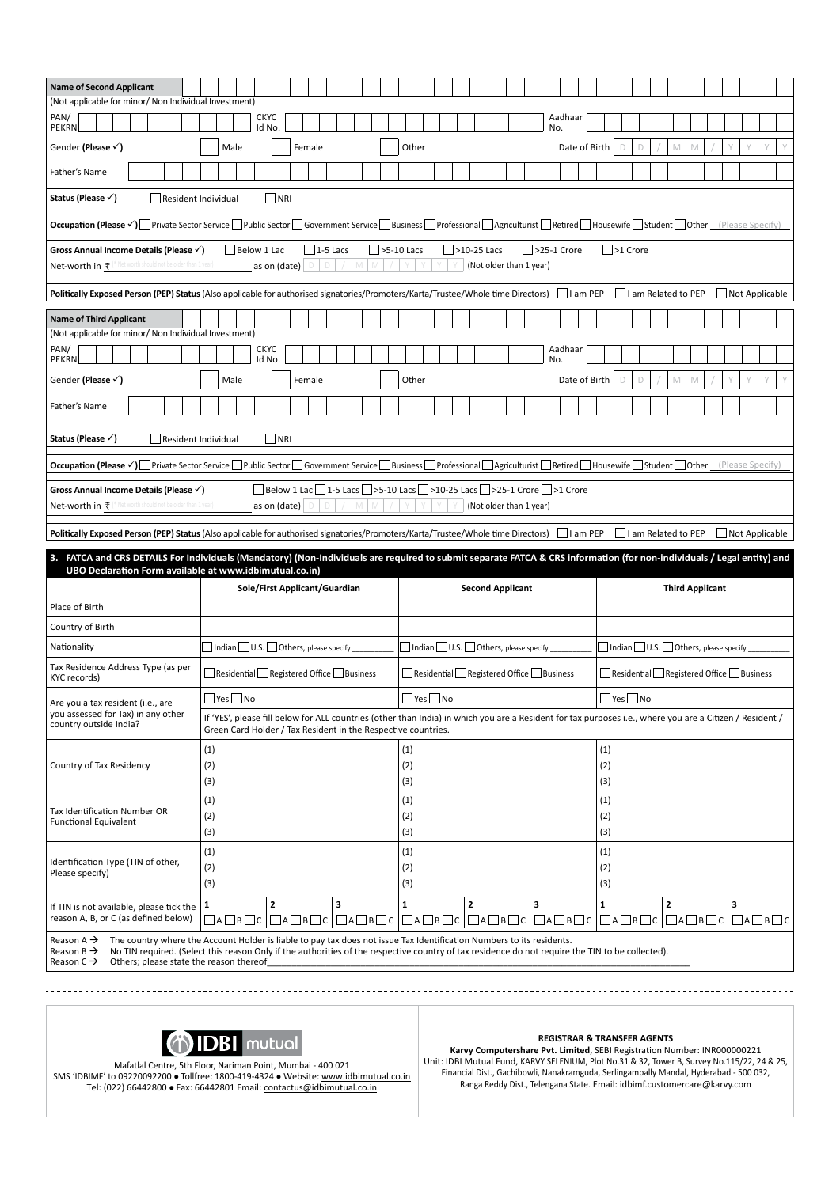| <b>Name of Second Applicant</b><br>(Not applicable for minor/ Non Individual Investment)<br>PAN/<br><b>CKYC</b><br>Aadhaar<br><b>PEKRN</b><br>Id No.<br>N <sub>O</sub><br>Gender (Please $\checkmark$ )<br>Male<br>Female<br>Other<br>Date of Birth<br>D<br>D<br>M<br>Father's Name |                                                                                                                                                                                                                                                                           |                               |   |  |                      |                                                         |              |                         |   |  |                            |   |            |                      |  |              |  |                                        |   |  |  |  |
|-------------------------------------------------------------------------------------------------------------------------------------------------------------------------------------------------------------------------------------------------------------------------------------|---------------------------------------------------------------------------------------------------------------------------------------------------------------------------------------------------------------------------------------------------------------------------|-------------------------------|---|--|----------------------|---------------------------------------------------------|--------------|-------------------------|---|--|----------------------------|---|------------|----------------------|--|--------------|--|----------------------------------------|---|--|--|--|
|                                                                                                                                                                                                                                                                                     |                                                                                                                                                                                                                                                                           |                               |   |  |                      |                                                         |              |                         |   |  |                            |   |            |                      |  |              |  |                                        |   |  |  |  |
|                                                                                                                                                                                                                                                                                     |                                                                                                                                                                                                                                                                           |                               |   |  |                      |                                                         |              |                         |   |  |                            |   |            |                      |  |              |  |                                        |   |  |  |  |
|                                                                                                                                                                                                                                                                                     |                                                                                                                                                                                                                                                                           |                               |   |  |                      |                                                         |              |                         |   |  |                            |   |            |                      |  |              |  |                                        |   |  |  |  |
|                                                                                                                                                                                                                                                                                     |                                                                                                                                                                                                                                                                           |                               |   |  |                      |                                                         |              |                         |   |  |                            |   |            |                      |  |              |  |                                        |   |  |  |  |
|                                                                                                                                                                                                                                                                                     | Status (Please √)<br>   NRI<br>Resident Individual                                                                                                                                                                                                                        |                               |   |  |                      |                                                         |              |                         |   |  |                            |   |            |                      |  |              |  |                                        |   |  |  |  |
| (Please Specify)                                                                                                                                                                                                                                                                    |                                                                                                                                                                                                                                                                           |                               |   |  |                      |                                                         |              |                         |   |  |                            |   |            |                      |  |              |  |                                        |   |  |  |  |
| Occupation (Please √) Private Sector Service Public Sector Government Service Business Professional Agriculturist Retired Housewife Student Other                                                                                                                                   |                                                                                                                                                                                                                                                                           |                               |   |  |                      |                                                         |              |                         |   |  |                            |   |            |                      |  |              |  |                                        |   |  |  |  |
| $\Box$ >5-10 Lacs<br>$\vert$ >10-25 Lacs<br>Below 1 Lac<br>$\Box$ 1-5 Lacs<br>$ $ >25-1 Crore<br>$ $ >1 Crore<br>Gross Annual Income Details (Please √)<br>(Not older than 1 year)<br>M<br>as on (date)<br>D<br>Ð                                                                   |                                                                                                                                                                                                                                                                           |                               |   |  |                      |                                                         |              |                         |   |  |                            |   |            |                      |  |              |  |                                        |   |  |  |  |
| Net-worth in ₹ (* Net worth should not be older than 1 year)<br>$\Box$ I am PEP<br>$\Box$ I am Related to PEP<br>Not Applicable                                                                                                                                                     |                                                                                                                                                                                                                                                                           |                               |   |  |                      |                                                         |              |                         |   |  |                            |   |            |                      |  |              |  |                                        |   |  |  |  |
| Politically Exposed Person (PEP) Status (Also applicable for authorised signatories/Promoters/Karta/Trustee/Whole time Directors)                                                                                                                                                   |                                                                                                                                                                                                                                                                           |                               |   |  |                      |                                                         |              |                         |   |  |                            |   |            |                      |  |              |  |                                        |   |  |  |  |
| <b>Name of Third Applicant</b>                                                                                                                                                                                                                                                      |                                                                                                                                                                                                                                                                           |                               |   |  |                      |                                                         |              |                         |   |  |                            |   |            |                      |  |              |  |                                        |   |  |  |  |
| (Not applicable for minor/ Non Individual Investment)<br>PAN/<br><b>CKYC</b><br>Aadhaar<br>Id No.<br><b>PEKRN</b><br>No.                                                                                                                                                            |                                                                                                                                                                                                                                                                           |                               |   |  |                      |                                                         |              |                         |   |  |                            |   |            |                      |  |              |  |                                        |   |  |  |  |
| Gender (Please √)<br>Other<br>Date of Birth<br>$\Box$<br>Male<br>Female<br>D<br>M<br>M                                                                                                                                                                                              |                                                                                                                                                                                                                                                                           |                               |   |  |                      |                                                         |              |                         |   |  |                            |   |            |                      |  |              |  |                                        |   |  |  |  |
|                                                                                                                                                                                                                                                                                     |                                                                                                                                                                                                                                                                           |                               |   |  |                      |                                                         |              |                         |   |  |                            |   |            |                      |  |              |  |                                        |   |  |  |  |
| Father's Name                                                                                                                                                                                                                                                                       |                                                                                                                                                                                                                                                                           |                               |   |  |                      |                                                         |              |                         |   |  |                            |   |            |                      |  |              |  |                                        |   |  |  |  |
| Status (Please √)                                                                                                                                                                                                                                                                   | $\Box$ NRI<br>Resident Individual                                                                                                                                                                                                                                         |                               |   |  |                      |                                                         |              |                         |   |  |                            |   |            |                      |  |              |  |                                        |   |  |  |  |
| Occupation (Please V) Private Sector Service Public Sector Government Service Business Professional Agriculturist Retired Housewife Student Other (Please Specify)                                                                                                                  |                                                                                                                                                                                                                                                                           |                               |   |  |                      |                                                         |              |                         |   |  |                            |   |            |                      |  |              |  |                                        |   |  |  |  |
|                                                                                                                                                                                                                                                                                     |                                                                                                                                                                                                                                                                           |                               |   |  |                      |                                                         |              |                         |   |  |                            |   |            |                      |  |              |  |                                        |   |  |  |  |
|                                                                                                                                                                                                                                                                                     | $\Box$ Below 1 Lac $\Box$ 1-5 Lacs $\Box$ >5-10 Lacs $\Box$ >10-25 Lacs $\Box$ >25-1 Crore $\Box$ >1 Crore<br>Gross Annual Income Details (Please v)<br>Net-worth in $\bar{\tau}$ (* Net worth should not be older than 1 year<br>(Not older than 1 year)<br>as on (date) |                               |   |  |                      |                                                         |              |                         |   |  |                            |   |            |                      |  |              |  |                                        |   |  |  |  |
| Politically Exposed Person (PEP) Status (Also applicable for authorised signatories/Promoters/Karta/Trustee/Whole time Directors)   I am PEP<br>I am Related to PEP<br>Not Applicable                                                                                               |                                                                                                                                                                                                                                                                           |                               |   |  |                      |                                                         |              |                         |   |  |                            |   |            |                      |  |              |  |                                        |   |  |  |  |
| FATCA and CRS DETAILS For Individuals (Mandatory) (Non-Individuals are required to submit separate FATCA & CRS information (for non-individuals / Legal entity) and                                                                                                                 |                                                                                                                                                                                                                                                                           |                               |   |  |                      |                                                         |              |                         |   |  |                            |   |            |                      |  |              |  |                                        |   |  |  |  |
|                                                                                                                                                                                                                                                                                     |                                                                                                                                                                                                                                                                           |                               |   |  |                      |                                                         |              |                         |   |  |                            |   |            |                      |  |              |  |                                        |   |  |  |  |
| UBO Declaration Form available at www.idbimutual.co.in)                                                                                                                                                                                                                             |                                                                                                                                                                                                                                                                           | Sole/First Applicant/Guardian |   |  |                      |                                                         |              | <b>Second Applicant</b> |   |  |                            |   |            |                      |  |              |  | <b>Third Applicant</b>                 |   |  |  |  |
| Place of Birth                                                                                                                                                                                                                                                                      |                                                                                                                                                                                                                                                                           |                               |   |  |                      |                                                         |              |                         |   |  |                            |   |            |                      |  |              |  |                                        |   |  |  |  |
| Country of Birth                                                                                                                                                                                                                                                                    |                                                                                                                                                                                                                                                                           |                               |   |  |                      |                                                         |              |                         |   |  |                            |   |            |                      |  |              |  |                                        |   |  |  |  |
| Nationality                                                                                                                                                                                                                                                                         | $\Box$ Indian $\Box$ U.S. $\Box$ Others, please specify                                                                                                                                                                                                                   |                               |   |  |                      | $\Box$ Indian $\Box$ U.S. $\Box$ Others, please specify |              |                         |   |  |                            |   |            |                      |  |              |  | Indian U.S. Others, please specify     |   |  |  |  |
| Tax Residence Address Type (as per<br>KYC records)                                                                                                                                                                                                                                  | Residential Registered Office Business                                                                                                                                                                                                                                    |                               |   |  |                      | Residential Registered Office Business                  |              |                         |   |  |                            |   |            |                      |  |              |  | Residential Registered Office Business |   |  |  |  |
| Are you a tax resident (i.e., are                                                                                                                                                                                                                                                   | $Yes$ No                                                                                                                                                                                                                                                                  |                               |   |  | $\Box$ Yes $\Box$ No |                                                         |              |                         |   |  |                            |   |            | $\Box$ Yes $\Box$ No |  |              |  |                                        |   |  |  |  |
| you assessed for Tax) in any other<br>country outside India?                                                                                                                                                                                                                        | If 'YES', please fill below for ALL countries (other than India) in which you are a Resident for tax purposes i.e., where you are a Citizen / Resident /<br>Green Card Holder / Tax Resident in the Respective countries.                                                 |                               |   |  |                      |                                                         |              |                         |   |  |                            |   |            |                      |  |              |  |                                        |   |  |  |  |
|                                                                                                                                                                                                                                                                                     | (1)                                                                                                                                                                                                                                                                       |                               |   |  | (1)                  |                                                         |              |                         |   |  |                            |   | (1)        |                      |  |              |  |                                        |   |  |  |  |
| Country of Tax Residency                                                                                                                                                                                                                                                            | (2)                                                                                                                                                                                                                                                                       |                               |   |  | (2)                  |                                                         |              |                         |   |  |                            |   | (2)        |                      |  |              |  |                                        |   |  |  |  |
|                                                                                                                                                                                                                                                                                     | (3)                                                                                                                                                                                                                                                                       |                               |   |  | (3)                  |                                                         |              |                         |   |  |                            |   | (3)        |                      |  |              |  |                                        |   |  |  |  |
| Tax Identification Number OR                                                                                                                                                                                                                                                        | (1)<br>(2)                                                                                                                                                                                                                                                                |                               |   |  | (1)<br>(2)           |                                                         |              |                         |   |  |                            |   | (1)<br>(2) |                      |  |              |  |                                        |   |  |  |  |
| <b>Functional Equivalent</b>                                                                                                                                                                                                                                                        | (3)                                                                                                                                                                                                                                                                       |                               |   |  | (3)                  |                                                         |              |                         |   |  |                            |   | (3)        |                      |  |              |  |                                        |   |  |  |  |
| Identification Type (TIN of other,                                                                                                                                                                                                                                                  | (1)                                                                                                                                                                                                                                                                       |                               |   |  | (1)                  |                                                         |              |                         |   |  |                            |   | (1)        |                      |  |              |  |                                        |   |  |  |  |
| Please specify)                                                                                                                                                                                                                                                                     | (2)<br>(3)                                                                                                                                                                                                                                                                |                               |   |  | (2)<br>(3)           |                                                         |              |                         |   |  |                            |   | (2)<br>(3) |                      |  |              |  |                                        |   |  |  |  |
| If TIN is not available, please tick the                                                                                                                                                                                                                                            | 1                                                                                                                                                                                                                                                                         | $\mathbf{z}$                  | з |  | $\mathbf{1}$         |                                                         | $\mathbf{2}$ |                         | 3 |  |                            | 1 |            |                      |  | $\mathbf{z}$ |  |                                        | 3 |  |  |  |
| reason A, B, or C (as defined below)<br>The country where the Account Holder is liable to pay tax does not issue Tax Identification Numbers to its residents.<br>Reason A $\rightarrow$                                                                                             | □△□B□C│□△□B□C│□△□B□C│                                                                                                                                                                                                                                                     |                               |   |  |                      | $\Box A \Box B \Box C \Box A \Box B \Box C$             |              |                         |   |  | $\Box$ a $\Box$ b $\Box$ c |   |            |                      |  |              |  |                                        |   |  |  |  |



Mafatlal Centre, 5th Floor, Nariman Point, Mumbai - 400 021<br>SMS 'IDBIMF' to 09220092200 • Tollfree: 1800-419-4324 • Website: <u>www.idbimutual.co.in</u> Tel: (022) 66442800 · Fax: 66442801 Email: contactus@idbimutual.co.in

### **REGISTRAR & TRANSFER AGENTS**

**Karvy Computershare Pvt. Limited**, SEBI Registration Number: INR000000221 Unit: IDBI Mutual Fund, KARVY SELENIUM, Plot No.31 & 32, Tower B, Survey No.115/22, 24 & 25, Financial Dist., Gachibowli, Nanakramguda, Serlingampally Mandal, Hyderabad - 500 032, Ranga Reddy Dist., Telengana State. Email: idbimf.customercare@karvy.com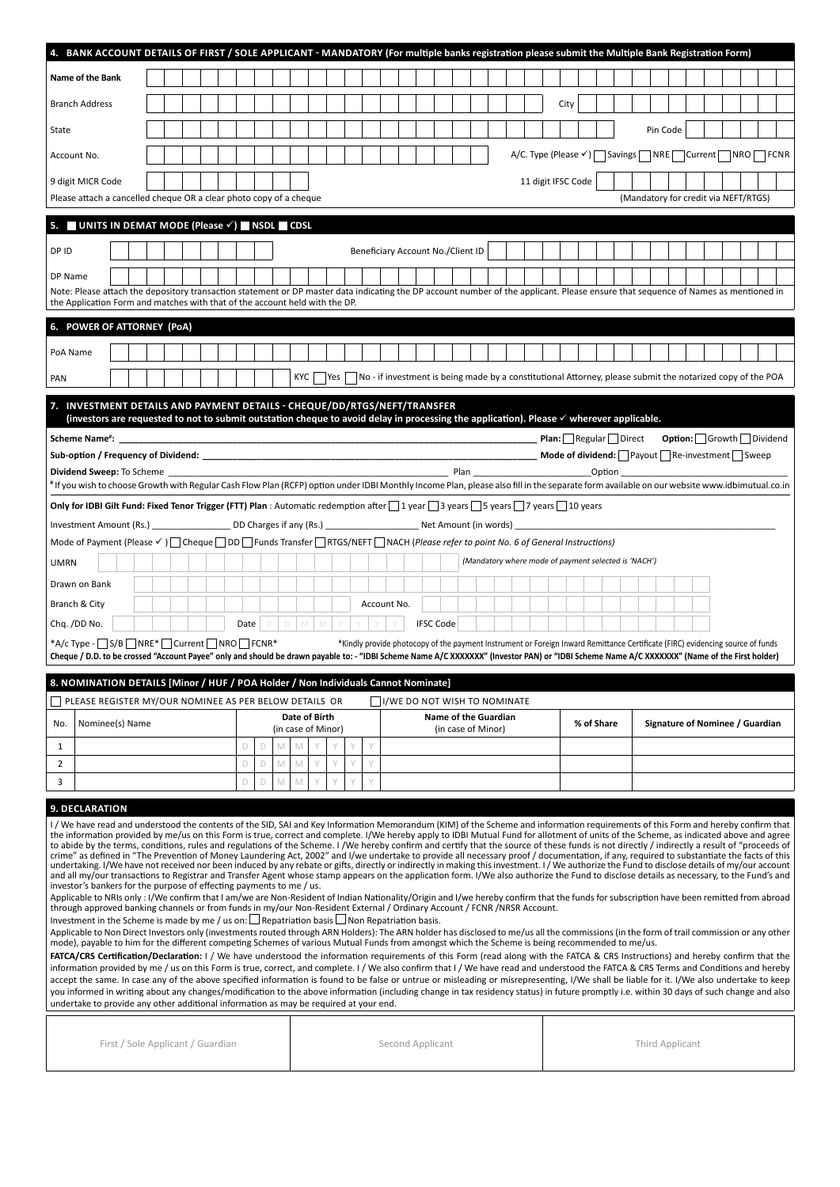| 4. BANK ACCOUNT DETAILS OF FIRST / SOLE APPLICANT - MANDATORY (For multiple banks registration please submit the Multiple Bank Registration Form)<br>Name of the Bank<br>City<br>Pin Code                                                                                                                                                                                                                                                                                                                                                                                                                                                                                                                                                                                                                                                                                                                                                                                                                                                                                                                                                                            |                                                                                                                                                                                                                                                                                     |  |  |   |             |   |     |                         |  |             |  |                                                                                                                                |                  |                                                                                                                                                                                                                                |  |  |                    |  |                                                      |  |                                      |  |  |  |
|----------------------------------------------------------------------------------------------------------------------------------------------------------------------------------------------------------------------------------------------------------------------------------------------------------------------------------------------------------------------------------------------------------------------------------------------------------------------------------------------------------------------------------------------------------------------------------------------------------------------------------------------------------------------------------------------------------------------------------------------------------------------------------------------------------------------------------------------------------------------------------------------------------------------------------------------------------------------------------------------------------------------------------------------------------------------------------------------------------------------------------------------------------------------|-------------------------------------------------------------------------------------------------------------------------------------------------------------------------------------------------------------------------------------------------------------------------------------|--|--|---|-------------|---|-----|-------------------------|--|-------------|--|--------------------------------------------------------------------------------------------------------------------------------|------------------|--------------------------------------------------------------------------------------------------------------------------------------------------------------------------------------------------------------------------------|--|--|--------------------|--|------------------------------------------------------|--|--------------------------------------|--|--|--|
| <b>Branch Address</b>                                                                                                                                                                                                                                                                                                                                                                                                                                                                                                                                                                                                                                                                                                                                                                                                                                                                                                                                                                                                                                                                                                                                                |                                                                                                                                                                                                                                                                                     |  |  |   |             |   |     |                         |  |             |  |                                                                                                                                |                  |                                                                                                                                                                                                                                |  |  |                    |  |                                                      |  |                                      |  |  |  |
|                                                                                                                                                                                                                                                                                                                                                                                                                                                                                                                                                                                                                                                                                                                                                                                                                                                                                                                                                                                                                                                                                                                                                                      |                                                                                                                                                                                                                                                                                     |  |  |   |             |   |     |                         |  |             |  |                                                                                                                                |                  |                                                                                                                                                                                                                                |  |  |                    |  |                                                      |  |                                      |  |  |  |
| State                                                                                                                                                                                                                                                                                                                                                                                                                                                                                                                                                                                                                                                                                                                                                                                                                                                                                                                                                                                                                                                                                                                                                                |                                                                                                                                                                                                                                                                                     |  |  |   |             |   |     |                         |  |             |  |                                                                                                                                |                  |                                                                                                                                                                                                                                |  |  |                    |  |                                                      |  |                                      |  |  |  |
| Account No.                                                                                                                                                                                                                                                                                                                                                                                                                                                                                                                                                                                                                                                                                                                                                                                                                                                                                                                                                                                                                                                                                                                                                          |                                                                                                                                                                                                                                                                                     |  |  |   |             |   |     |                         |  |             |  |                                                                                                                                |                  |                                                                                                                                                                                                                                |  |  |                    |  | A/C. Type (Please V) Savings NRE Current NRO FCNR    |  |                                      |  |  |  |
| 9 digit MICR Code                                                                                                                                                                                                                                                                                                                                                                                                                                                                                                                                                                                                                                                                                                                                                                                                                                                                                                                                                                                                                                                                                                                                                    |                                                                                                                                                                                                                                                                                     |  |  |   |             |   |     |                         |  |             |  |                                                                                                                                |                  |                                                                                                                                                                                                                                |  |  | 11 digit IFSC Code |  |                                                      |  |                                      |  |  |  |
| Please attach a cancelled cheque OR a clear photo copy of a cheque                                                                                                                                                                                                                                                                                                                                                                                                                                                                                                                                                                                                                                                                                                                                                                                                                                                                                                                                                                                                                                                                                                   |                                                                                                                                                                                                                                                                                     |  |  |   |             |   |     |                         |  |             |  |                                                                                                                                |                  |                                                                                                                                                                                                                                |  |  |                    |  |                                                      |  | (Mandatory for credit via NEFT/RTGS) |  |  |  |
| 5. UNITS IN DEMAT MODE (Please $\checkmark$ ) NSDL CDSL                                                                                                                                                                                                                                                                                                                                                                                                                                                                                                                                                                                                                                                                                                                                                                                                                                                                                                                                                                                                                                                                                                              |                                                                                                                                                                                                                                                                                     |  |  |   |             |   |     |                         |  |             |  |                                                                                                                                |                  |                                                                                                                                                                                                                                |  |  |                    |  |                                                      |  |                                      |  |  |  |
| DP ID                                                                                                                                                                                                                                                                                                                                                                                                                                                                                                                                                                                                                                                                                                                                                                                                                                                                                                                                                                                                                                                                                                                                                                |                                                                                                                                                                                                                                                                                     |  |  |   |             |   |     |                         |  |             |  | Beneficiary Account No./Client ID                                                                                              |                  |                                                                                                                                                                                                                                |  |  |                    |  |                                                      |  |                                      |  |  |  |
| DP Name                                                                                                                                                                                                                                                                                                                                                                                                                                                                                                                                                                                                                                                                                                                                                                                                                                                                                                                                                                                                                                                                                                                                                              |                                                                                                                                                                                                                                                                                     |  |  |   |             |   |     |                         |  |             |  |                                                                                                                                |                  |                                                                                                                                                                                                                                |  |  |                    |  |                                                      |  |                                      |  |  |  |
| Note: Please attach the depository transaction statement or DP master data indicating the DP account number of the applicant. Please ensure that sequence of Names as mentioned in<br>the Application Form and matches with that of the account held with the DP.                                                                                                                                                                                                                                                                                                                                                                                                                                                                                                                                                                                                                                                                                                                                                                                                                                                                                                    |                                                                                                                                                                                                                                                                                     |  |  |   |             |   |     |                         |  |             |  |                                                                                                                                |                  |                                                                                                                                                                                                                                |  |  |                    |  |                                                      |  |                                      |  |  |  |
| 6. POWER OF ATTORNEY (PoA)                                                                                                                                                                                                                                                                                                                                                                                                                                                                                                                                                                                                                                                                                                                                                                                                                                                                                                                                                                                                                                                                                                                                           |                                                                                                                                                                                                                                                                                     |  |  |   |             |   |     |                         |  |             |  |                                                                                                                                |                  |                                                                                                                                                                                                                                |  |  |                    |  |                                                      |  |                                      |  |  |  |
| PoA Name                                                                                                                                                                                                                                                                                                                                                                                                                                                                                                                                                                                                                                                                                                                                                                                                                                                                                                                                                                                                                                                                                                                                                             |                                                                                                                                                                                                                                                                                     |  |  |   |             |   |     |                         |  |             |  |                                                                                                                                |                  |                                                                                                                                                                                                                                |  |  |                    |  |                                                      |  |                                      |  |  |  |
| PAN                                                                                                                                                                                                                                                                                                                                                                                                                                                                                                                                                                                                                                                                                                                                                                                                                                                                                                                                                                                                                                                                                                                                                                  |                                                                                                                                                                                                                                                                                     |  |  |   |             |   | KYC | Yes                     |  |             |  | $\sqrt{ }$ No - if investment is being made by a constitutional Attorney, please submit the notarized copy of the POA          |                  |                                                                                                                                                                                                                                |  |  |                    |  |                                                      |  |                                      |  |  |  |
|                                                                                                                                                                                                                                                                                                                                                                                                                                                                                                                                                                                                                                                                                                                                                                                                                                                                                                                                                                                                                                                                                                                                                                      |                                                                                                                                                                                                                                                                                     |  |  |   |             |   |     |                         |  |             |  |                                                                                                                                |                  |                                                                                                                                                                                                                                |  |  |                    |  |                                                      |  |                                      |  |  |  |
| INVESTMENT DETAILS AND PAYMENT DETAILS - CHEQUE/DD/RTGS/NEFT/TRANSFER<br>(investors are requested to not to submit outstation cheque to avoid delay in processing the application). Please √ wherever applicable.                                                                                                                                                                                                                                                                                                                                                                                                                                                                                                                                                                                                                                                                                                                                                                                                                                                                                                                                                    |                                                                                                                                                                                                                                                                                     |  |  |   |             |   |     |                         |  |             |  |                                                                                                                                |                  |                                                                                                                                                                                                                                |  |  |                    |  |                                                      |  |                                      |  |  |  |
|                                                                                                                                                                                                                                                                                                                                                                                                                                                                                                                                                                                                                                                                                                                                                                                                                                                                                                                                                                                                                                                                                                                                                                      |                                                                                                                                                                                                                                                                                     |  |  |   |             |   |     |                         |  |             |  |                                                                                                                                |                  |                                                                                                                                                                                                                                |  |  |                    |  |                                                      |  |                                      |  |  |  |
|                                                                                                                                                                                                                                                                                                                                                                                                                                                                                                                                                                                                                                                                                                                                                                                                                                                                                                                                                                                                                                                                                                                                                                      |                                                                                                                                                                                                                                                                                     |  |  |   |             |   |     |                         |  |             |  |                                                                                                                                |                  |                                                                                                                                                                                                                                |  |  |                    |  |                                                      |  |                                      |  |  |  |
| <b>Dividend Sweep:</b> To Scheme                                                                                                                                                                                                                                                                                                                                                                                                                                                                                                                                                                                                                                                                                                                                                                                                                                                                                                                                                                                                                                                                                                                                     |                                                                                                                                                                                                                                                                                     |  |  |   |             |   |     |                         |  |             |  |                                                                                                                                |                  | Plan and the contract of the contract of the contract of the contract of the contract of the contract of the contract of the contract of the contract of the contract of the contract of the contract of the contract of the c |  |  |                    |  | Option                                               |  |                                      |  |  |  |
| #If you wish to choose Growth with Regular Cash Flow Plan (RCFP) option under IDBI Monthly Income Plan, please also fill in the separate form available on our website www.idbimutual.co.in                                                                                                                                                                                                                                                                                                                                                                                                                                                                                                                                                                                                                                                                                                                                                                                                                                                                                                                                                                          |                                                                                                                                                                                                                                                                                     |  |  |   |             |   |     |                         |  |             |  |                                                                                                                                |                  |                                                                                                                                                                                                                                |  |  |                    |  |                                                      |  |                                      |  |  |  |
| Only for IDBI Gilt Fund: Fixed Tenor Trigger (FTT) Plan : Automatic redemption after   1 year   3 years   5 years   7 years   10 years                                                                                                                                                                                                                                                                                                                                                                                                                                                                                                                                                                                                                                                                                                                                                                                                                                                                                                                                                                                                                               |                                                                                                                                                                                                                                                                                     |  |  |   |             |   |     |                         |  |             |  |                                                                                                                                |                  |                                                                                                                                                                                                                                |  |  |                    |  |                                                      |  |                                      |  |  |  |
|                                                                                                                                                                                                                                                                                                                                                                                                                                                                                                                                                                                                                                                                                                                                                                                                                                                                                                                                                                                                                                                                                                                                                                      |                                                                                                                                                                                                                                                                                     |  |  |   |             |   |     |                         |  |             |  |                                                                                                                                |                  |                                                                                                                                                                                                                                |  |  |                    |  |                                                      |  |                                      |  |  |  |
| Mode of Payment (Please $\checkmark$ )   Cheque   DD   Funds Transfer   RTGS/NEFT   NACH (Please refer to point No. 6 of General Instructions)                                                                                                                                                                                                                                                                                                                                                                                                                                                                                                                                                                                                                                                                                                                                                                                                                                                                                                                                                                                                                       |                                                                                                                                                                                                                                                                                     |  |  |   |             |   |     |                         |  |             |  |                                                                                                                                |                  |                                                                                                                                                                                                                                |  |  |                    |  |                                                      |  |                                      |  |  |  |
|                                                                                                                                                                                                                                                                                                                                                                                                                                                                                                                                                                                                                                                                                                                                                                                                                                                                                                                                                                                                                                                                                                                                                                      |                                                                                                                                                                                                                                                                                     |  |  |   |             |   |     |                         |  |             |  |                                                                                                                                |                  |                                                                                                                                                                                                                                |  |  |                    |  |                                                      |  |                                      |  |  |  |
| <b>UMRN</b>                                                                                                                                                                                                                                                                                                                                                                                                                                                                                                                                                                                                                                                                                                                                                                                                                                                                                                                                                                                                                                                                                                                                                          |                                                                                                                                                                                                                                                                                     |  |  |   |             |   |     |                         |  |             |  |                                                                                                                                |                  |                                                                                                                                                                                                                                |  |  |                    |  | (Mandatory where mode of payment selected is 'NACH') |  |                                      |  |  |  |
| Drawn on Bank                                                                                                                                                                                                                                                                                                                                                                                                                                                                                                                                                                                                                                                                                                                                                                                                                                                                                                                                                                                                                                                                                                                                                        |                                                                                                                                                                                                                                                                                     |  |  |   |             |   |     |                         |  |             |  |                                                                                                                                |                  |                                                                                                                                                                                                                                |  |  |                    |  |                                                      |  |                                      |  |  |  |
| Branch & City                                                                                                                                                                                                                                                                                                                                                                                                                                                                                                                                                                                                                                                                                                                                                                                                                                                                                                                                                                                                                                                                                                                                                        |                                                                                                                                                                                                                                                                                     |  |  |   |             |   |     |                         |  | Account No. |  |                                                                                                                                |                  |                                                                                                                                                                                                                                |  |  |                    |  |                                                      |  |                                      |  |  |  |
| Chq. /DD No.                                                                                                                                                                                                                                                                                                                                                                                                                                                                                                                                                                                                                                                                                                                                                                                                                                                                                                                                                                                                                                                                                                                                                         |                                                                                                                                                                                                                                                                                     |  |  |   | Date $\Box$ |   |     | $D$ $M$ $M$ $Y$ $Y$ $Y$ |  |             |  |                                                                                                                                | <b>IFSC Code</b> |                                                                                                                                                                                                                                |  |  |                    |  |                                                      |  |                                      |  |  |  |
| *A/c Type - S/B NRE* Current NRO FCNR*                                                                                                                                                                                                                                                                                                                                                                                                                                                                                                                                                                                                                                                                                                                                                                                                                                                                                                                                                                                                                                                                                                                               |                                                                                                                                                                                                                                                                                     |  |  |   |             |   |     |                         |  |             |  |                                                                                                                                |                  |                                                                                                                                                                                                                                |  |  |                    |  |                                                      |  |                                      |  |  |  |
|                                                                                                                                                                                                                                                                                                                                                                                                                                                                                                                                                                                                                                                                                                                                                                                                                                                                                                                                                                                                                                                                                                                                                                      |                                                                                                                                                                                                                                                                                     |  |  |   |             |   |     |                         |  |             |  | *Kindly provide photocopy of the payment Instrument or Foreign Inward Remittance Certificate (FIRC) evidencing source of funds |                  |                                                                                                                                                                                                                                |  |  |                    |  |                                                      |  |                                      |  |  |  |
|                                                                                                                                                                                                                                                                                                                                                                                                                                                                                                                                                                                                                                                                                                                                                                                                                                                                                                                                                                                                                                                                                                                                                                      | Cheque / D.D. to be crossed "Account Payee" only and should be drawn payable to: - "IDBI Scheme Name A/C XXXXXXX" (Investor PAN) or "IDBI Scheme Name A/C XXXXXXX" (Name of the First holder)<br>8. NOMINATION DETAILS [Minor / HUF / POA Holder / Non Individuals Cannot Nominate] |  |  |   |             |   |     |                         |  |             |  |                                                                                                                                |                  |                                                                                                                                                                                                                                |  |  |                    |  |                                                      |  |                                      |  |  |  |
| PLEASE REGISTER MY/OUR NOMINEE AS PER BELOW DETAILS OR                                                                                                                                                                                                                                                                                                                                                                                                                                                                                                                                                                                                                                                                                                                                                                                                                                                                                                                                                                                                                                                                                                               |                                                                                                                                                                                                                                                                                     |  |  |   |             |   |     |                         |  |             |  | I/WE DO NOT WISH TO NOMINATE                                                                                                   |                  |                                                                                                                                                                                                                                |  |  |                    |  |                                                      |  |                                      |  |  |  |
|                                                                                                                                                                                                                                                                                                                                                                                                                                                                                                                                                                                                                                                                                                                                                                                                                                                                                                                                                                                                                                                                                                                                                                      |                                                                                                                                                                                                                                                                                     |  |  |   |             |   |     | Date of Birth           |  |             |  |                                                                                                                                |                  | Name of the Guardian                                                                                                                                                                                                           |  |  |                    |  |                                                      |  |                                      |  |  |  |
| Nominee(s) Name<br>No.                                                                                                                                                                                                                                                                                                                                                                                                                                                                                                                                                                                                                                                                                                                                                                                                                                                                                                                                                                                                                                                                                                                                               |                                                                                                                                                                                                                                                                                     |  |  |   |             |   |     | (in case of Minor)      |  |             |  |                                                                                                                                |                  | (in case of Minor)                                                                                                                                                                                                             |  |  |                    |  | % of Share                                           |  | Signature of Nominee / Guardian      |  |  |  |
| $\mathbf{1}$                                                                                                                                                                                                                                                                                                                                                                                                                                                                                                                                                                                                                                                                                                                                                                                                                                                                                                                                                                                                                                                                                                                                                         |                                                                                                                                                                                                                                                                                     |  |  | D | D           |   | M   |                         |  | Y           |  |                                                                                                                                |                  |                                                                                                                                                                                                                                |  |  |                    |  |                                                      |  |                                      |  |  |  |
| 2                                                                                                                                                                                                                                                                                                                                                                                                                                                                                                                                                                                                                                                                                                                                                                                                                                                                                                                                                                                                                                                                                                                                                                    |                                                                                                                                                                                                                                                                                     |  |  | D | D           | M | M   | $\vee$                  |  | Y<br>$\vee$ |  |                                                                                                                                |                  |                                                                                                                                                                                                                                |  |  |                    |  |                                                      |  |                                      |  |  |  |
| 3                                                                                                                                                                                                                                                                                                                                                                                                                                                                                                                                                                                                                                                                                                                                                                                                                                                                                                                                                                                                                                                                                                                                                                    |                                                                                                                                                                                                                                                                                     |  |  | D | D           | M | M   |                         |  |             |  |                                                                                                                                |                  |                                                                                                                                                                                                                                |  |  |                    |  |                                                      |  |                                      |  |  |  |
| 9. DECLARATION                                                                                                                                                                                                                                                                                                                                                                                                                                                                                                                                                                                                                                                                                                                                                                                                                                                                                                                                                                                                                                                                                                                                                       |                                                                                                                                                                                                                                                                                     |  |  |   |             |   |     |                         |  |             |  |                                                                                                                                |                  |                                                                                                                                                                                                                                |  |  |                    |  |                                                      |  |                                      |  |  |  |
| I/We have read and understood the contents of the SID, SAI and Key Information Memorandum (KIM) of the Scheme and information requirements of this Form and hereby confirm that<br>the information provided by me/us on this Form is true, correct and complete. I/We hereby apply to IDBI Mutual Fund for allotment of units of the Scheme, as indicated above and agree<br>to abide by the terms, conditions, rules and regulations of the Scheme. I /We hereby confirm and certify that the source of these funds is not directly / indirectly a result of "proceeds of<br>crime" as defined in "The Prevention of Money Laundering Act, 2002" and I/we undertake to provide all necessary proof / documentation, if any, required to substantiate the facts of this<br>undertaking. I/We have not received nor been induced by any rebate or gifts, directly or indirectly in making this investment. I/We authorize the Fund to disclose details of my/our account<br>and all my/our transactions to Registrar and Transfer Agent whose stamp appears on the application form. I/We also authorize the Fund to disclose details as necessary, to the Fund's and |                                                                                                                                                                                                                                                                                     |  |  |   |             |   |     |                         |  |             |  |                                                                                                                                |                  |                                                                                                                                                                                                                                |  |  |                    |  |                                                      |  |                                      |  |  |  |
| investor's bankers for the purpose of effecting payments to me / us.                                                                                                                                                                                                                                                                                                                                                                                                                                                                                                                                                                                                                                                                                                                                                                                                                                                                                                                                                                                                                                                                                                 |                                                                                                                                                                                                                                                                                     |  |  |   |             |   |     |                         |  |             |  |                                                                                                                                |                  |                                                                                                                                                                                                                                |  |  |                    |  |                                                      |  |                                      |  |  |  |
| Applicable to NRIs only: I/We confirm that I am/we are Non-Resident of Indian Nationality/Origin and I/we hereby confirm that the funds for subscription have been remitted from abroad<br>through approved banking channels or from funds in my/our Non-Resident External / Ordinary Account / FCNR /NRSR Account.                                                                                                                                                                                                                                                                                                                                                                                                                                                                                                                                                                                                                                                                                                                                                                                                                                                  |                                                                                                                                                                                                                                                                                     |  |  |   |             |   |     |                         |  |             |  |                                                                                                                                |                  |                                                                                                                                                                                                                                |  |  |                    |  |                                                      |  |                                      |  |  |  |
| Investment in the Scheme is made by me / us on: $\Box$ Repatriation basis $\Box$ Non Repatriation basis.<br>Applicable to Non Direct Investors only (investments routed through ARN Holders): The ARN holder has disclosed to me/us all the commissions (in the form of trail commission or any other                                                                                                                                                                                                                                                                                                                                                                                                                                                                                                                                                                                                                                                                                                                                                                                                                                                                |                                                                                                                                                                                                                                                                                     |  |  |   |             |   |     |                         |  |             |  |                                                                                                                                |                  |                                                                                                                                                                                                                                |  |  |                    |  |                                                      |  |                                      |  |  |  |
| mode), payable to him for the different competing Schemes of various Mutual Funds from amongst which the Scheme is being recommended to me/us.                                                                                                                                                                                                                                                                                                                                                                                                                                                                                                                                                                                                                                                                                                                                                                                                                                                                                                                                                                                                                       |                                                                                                                                                                                                                                                                                     |  |  |   |             |   |     |                         |  |             |  |                                                                                                                                |                  |                                                                                                                                                                                                                                |  |  |                    |  |                                                      |  |                                      |  |  |  |
| FATCA/CRS Certification/Declaration: I / We have understood the information requirements of this Form (read along with the FATCA & CRS Instructions) and hereby confirm that the                                                                                                                                                                                                                                                                                                                                                                                                                                                                                                                                                                                                                                                                                                                                                                                                                                                                                                                                                                                     |                                                                                                                                                                                                                                                                                     |  |  |   |             |   |     |                         |  |             |  |                                                                                                                                |                  |                                                                                                                                                                                                                                |  |  |                    |  |                                                      |  |                                      |  |  |  |
| information provided by me / us on this Form is true, correct, and complete. I / We also confirm that I / We have read and understood the FATCA & CRS Terms and Conditions and hereby<br>accept the same. In case any of the above specified information is found to be false or untrue or misleading or misrepresenting, I/We shall be liable for it. I/We also undertake to keep                                                                                                                                                                                                                                                                                                                                                                                                                                                                                                                                                                                                                                                                                                                                                                                   |                                                                                                                                                                                                                                                                                     |  |  |   |             |   |     |                         |  |             |  |                                                                                                                                |                  |                                                                                                                                                                                                                                |  |  |                    |  |                                                      |  |                                      |  |  |  |
| you informed in writing about any changes/modification to the above information (including change in tax residency status) in future promptly i.e. within 30 days of such change and also                                                                                                                                                                                                                                                                                                                                                                                                                                                                                                                                                                                                                                                                                                                                                                                                                                                                                                                                                                            |                                                                                                                                                                                                                                                                                     |  |  |   |             |   |     |                         |  |             |  |                                                                                                                                |                  |                                                                                                                                                                                                                                |  |  |                    |  |                                                      |  |                                      |  |  |  |
| undertake to provide any other additional information as may be required at your end.                                                                                                                                                                                                                                                                                                                                                                                                                                                                                                                                                                                                                                                                                                                                                                                                                                                                                                                                                                                                                                                                                |                                                                                                                                                                                                                                                                                     |  |  |   |             |   |     |                         |  |             |  |                                                                                                                                |                  |                                                                                                                                                                                                                                |  |  |                    |  |                                                      |  |                                      |  |  |  |
|                                                                                                                                                                                                                                                                                                                                                                                                                                                                                                                                                                                                                                                                                                                                                                                                                                                                                                                                                                                                                                                                                                                                                                      |                                                                                                                                                                                                                                                                                     |  |  |   |             |   |     |                         |  |             |  |                                                                                                                                |                  |                                                                                                                                                                                                                                |  |  |                    |  |                                                      |  |                                      |  |  |  |
| First / Sole Applicant / Guardian                                                                                                                                                                                                                                                                                                                                                                                                                                                                                                                                                                                                                                                                                                                                                                                                                                                                                                                                                                                                                                                                                                                                    |                                                                                                                                                                                                                                                                                     |  |  |   |             |   |     |                         |  |             |  | Second Applicant                                                                                                               |                  |                                                                                                                                                                                                                                |  |  |                    |  |                                                      |  | Third Applicant                      |  |  |  |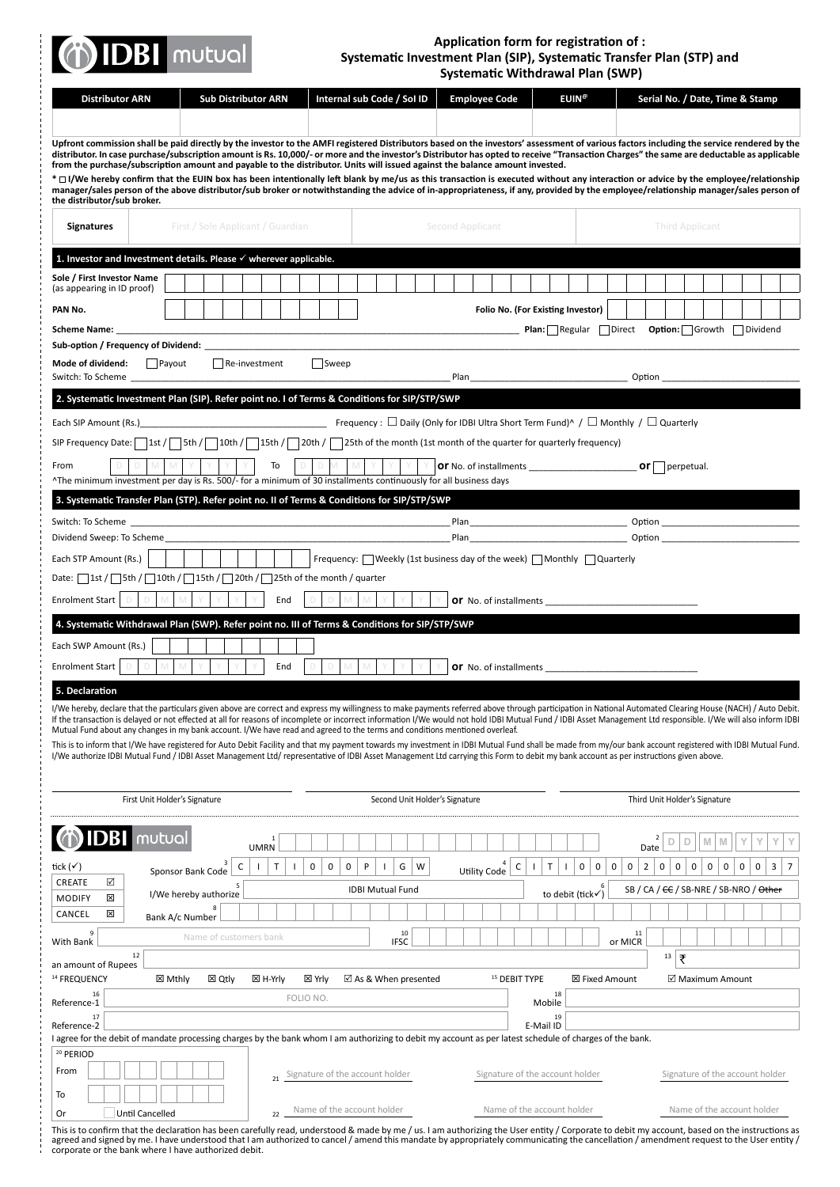### (j) IDBI mutual

ł

### **Application form for registration of : Systematic Investment Plan (SIP), Systematic Transfer Plan (STP) and Systematic Withdrawal Plan (SWP)**

|                                                                                                                                                                                                                                                                                                                                                                                                                                  | Systematic Withurdwal Pidii (SWP)                                                                              |                                                                                                                   |
|----------------------------------------------------------------------------------------------------------------------------------------------------------------------------------------------------------------------------------------------------------------------------------------------------------------------------------------------------------------------------------------------------------------------------------|----------------------------------------------------------------------------------------------------------------|-------------------------------------------------------------------------------------------------------------------|
| <b>Sub Distributor ARN</b><br>Internal sub Code / Sol ID<br><b>Distributor ARN</b>                                                                                                                                                                                                                                                                                                                                               | <b>Employee Code</b>                                                                                           | <b>EUIN®</b><br>Serial No. / Date, Time & Stamp                                                                   |
|                                                                                                                                                                                                                                                                                                                                                                                                                                  |                                                                                                                |                                                                                                                   |
| Upfront commission shall be paid directly by the investor to the AMFI registered Distributors based on the investors' assessment of various factors including the service rendered by the<br>distributor. In case purchase/subscription amount is Rs. 10,000/- or more and the investor's Distributor has opted to receive "Transaction Charges" the same are deductable as applicable                                           |                                                                                                                |                                                                                                                   |
| from the purchase/subscription amount and payable to the distributor. Units will issued against the balance amount invested.                                                                                                                                                                                                                                                                                                     |                                                                                                                |                                                                                                                   |
| * $\Box$ I/We hereby confirm that the EUIN box has been intentionally left blank by me/us as this transaction is executed without any interaction or advice by the employee/relationship<br>manager/sales person of the above distributor/sub broker or notwithstanding the advice of in-appropriateness, if any, provided by the employee/relationship manager/sales person of<br>the distributor/sub broker.                   |                                                                                                                |                                                                                                                   |
| First / Sole Applicant / Guardian<br><b>Signatures</b>                                                                                                                                                                                                                                                                                                                                                                           | Second Applicant                                                                                               | Third Applicant                                                                                                   |
| 1. Investor and Investment details. Please $\checkmark$ wherever applicable.                                                                                                                                                                                                                                                                                                                                                     |                                                                                                                |                                                                                                                   |
| Sole / First Investor Name                                                                                                                                                                                                                                                                                                                                                                                                       |                                                                                                                |                                                                                                                   |
| (as appearing in ID proof)                                                                                                                                                                                                                                                                                                                                                                                                       |                                                                                                                |                                                                                                                   |
| PAN No.                                                                                                                                                                                                                                                                                                                                                                                                                          | Folio No. (For Existing Investor)                                                                              |                                                                                                                   |
| Sub-option / Frequency of Dividend: National Communication of Dividend: National Communication of Dividend: Na                                                                                                                                                                                                                                                                                                                   |                                                                                                                | Option: Growth Dividend                                                                                           |
| $\Box$ Sweep<br>Mode of dividend:<br>$\Box$ Payout<br>Re-investment                                                                                                                                                                                                                                                                                                                                                              |                                                                                                                |                                                                                                                   |
| Switch: To Scheme                                                                                                                                                                                                                                                                                                                                                                                                                | Plan 2008 2010 12:00:00 12:00:00 12:00:00 12:00:00 12:00:00 12:00:00 12:00:00 12:00:00 12:00:00 12:00:00 12:00 |                                                                                                                   |
| 2. Systematic Investment Plan (SIP). Refer point no. I of Terms & Conditions for SIP/STP/SWP                                                                                                                                                                                                                                                                                                                                     |                                                                                                                |                                                                                                                   |
| Each SIP Amount (Rs.) <b>Similar Strute 1 and SI</b> Frequency : $\Box$ Daily (Only for IDBI Ultra Short Term Fund) <sup>^</sup> / $\Box$ Monthly / $\Box$ Quarterly                                                                                                                                                                                                                                                             |                                                                                                                |                                                                                                                   |
| SIP Frequency Date: $\lceil$ 1st / $\lceil$ 5th / $\lceil$ 10th / $\lceil$ 15th / $\lceil$ 20th / $\lceil$ 25th of the month (1st month of the quarter for quarterly frequency)                                                                                                                                                                                                                                                  |                                                                                                                |                                                                                                                   |
| To<br>From                                                                                                                                                                                                                                                                                                                                                                                                                       |                                                                                                                | $or$ perpetual.                                                                                                   |
| ^The minimum investment per day is Rs. 500/- for a minimum of 30 installments continuously for all business days                                                                                                                                                                                                                                                                                                                 |                                                                                                                |                                                                                                                   |
| 3. Systematic Transfer Plan (STP). Refer point no. II of Terms & Conditions for SIP/STP/SWP                                                                                                                                                                                                                                                                                                                                      |                                                                                                                |                                                                                                                   |
| Switch: To Scheme<br>Dividend Sweep: To Scheme                                                                                                                                                                                                                                                                                                                                                                                   |                                                                                                                |                                                                                                                   |
| │ Frequency: □ Weekly (1st business day of the week) □ Monthly □ Quarterly<br>Each STP Amount (Rs.)                                                                                                                                                                                                                                                                                                                              |                                                                                                                |                                                                                                                   |
| Date: 1st / Sth / 10th / 15th / 20th / 25th of the month / quarter                                                                                                                                                                                                                                                                                                                                                               |                                                                                                                |                                                                                                                   |
| <b>Enrolment Start</b><br>$\Box$<br>M<br>$\mathbb{M}$<br>D<br>Y<br>End<br>D<br>M<br>M                                                                                                                                                                                                                                                                                                                                            |                                                                                                                | Or No. of installments                                                                                            |
| 4. Systematic Withdrawal Plan (SWP). Refer point no. III of Terms & Conditions for SIP/STP/SWP                                                                                                                                                                                                                                                                                                                                   |                                                                                                                |                                                                                                                   |
| Each SWP Amount (Rs.)                                                                                                                                                                                                                                                                                                                                                                                                            |                                                                                                                |                                                                                                                   |
| D                                                                                                                                                                                                                                                                                                                                                                                                                                |                                                                                                                |                                                                                                                   |
| <b>Enrolment Start</b><br>D<br>D<br>End                                                                                                                                                                                                                                                                                                                                                                                          |                                                                                                                | Or No. of installments                                                                                            |
| 5. Declaration                                                                                                                                                                                                                                                                                                                                                                                                                   |                                                                                                                |                                                                                                                   |
| I/We hereby, declare that the particulars given above are correct and express my willingness to make payments referred above through participation in National Automated Clearing House (NACH) / Auto Debit.<br>If the transaction is delayed or not effected at all for reasons of incomplete or incorrect information I/We would not hold IDBI Mutual Fund / IDBI Asset Management Ltd responsible. I/We will also inform IDBI |                                                                                                                |                                                                                                                   |
| Mutual Fund about any changes in my bank account. I/We have read and agreed to the terms and conditions mentioned overleaf.<br>This is to inform that I/We have registered for Auto Debit Facility and that my payment towards my investment in IDBI Mutual Fund shall be made from my/our bank account registered with IDBI Mutual Fund.                                                                                        |                                                                                                                |                                                                                                                   |
| I/We authorize IDBI Mutual Fund / IDBI Asset Management Ltd/ representative of IDBI Asset Management Ltd carrying this Form to debit my bank account as per instructions given above.                                                                                                                                                                                                                                            |                                                                                                                |                                                                                                                   |
|                                                                                                                                                                                                                                                                                                                                                                                                                                  |                                                                                                                |                                                                                                                   |
| First Unit Holder's Signature<br>Second Unit Holder's Signature                                                                                                                                                                                                                                                                                                                                                                  |                                                                                                                | Third Unit Holder's Signature                                                                                     |
|                                                                                                                                                                                                                                                                                                                                                                                                                                  |                                                                                                                |                                                                                                                   |
| <b>IDBI</b> mutual<br><b>UMRN</b>                                                                                                                                                                                                                                                                                                                                                                                                |                                                                                                                | Date                                                                                                              |
| tick $(\checkmark)$<br>$\mathbf 0$<br>0<br>P<br>С<br>т<br>0<br>G<br>W<br>Sponsor Bank Code                                                                                                                                                                                                                                                                                                                                       | C<br>T<br>Utility Code                                                                                         | $\pmb{0}$<br>$\mathbf 0$<br>0<br>0<br>3<br>0<br>0<br>2<br>0<br>0<br>$\mathbf 0$<br>0<br>0<br>$\overline{7}$<br>-1 |
| ☑<br>CREATE<br><b>IDBI Mutual Fund</b><br>I/We hereby authorize                                                                                                                                                                                                                                                                                                                                                                  |                                                                                                                | SB / CA / <del>CC</del> / SB-NRE / SB-NRO / Other<br>to debit (tick√)                                             |
| <b>MODIFY</b><br>⊠<br>CANCEL<br>図                                                                                                                                                                                                                                                                                                                                                                                                |                                                                                                                |                                                                                                                   |
| Bank A/c Number<br>10<br>Name of customers bank                                                                                                                                                                                                                                                                                                                                                                                  |                                                                                                                | 11                                                                                                                |
| With Bank<br><b>IFSC</b><br>12                                                                                                                                                                                                                                                                                                                                                                                                   |                                                                                                                | or MICR<br>13<br>₹                                                                                                |
| an amount of Rupees                                                                                                                                                                                                                                                                                                                                                                                                              |                                                                                                                |                                                                                                                   |
| <sup>14</sup> FREQUENCY<br><b>区 Mthly</b><br>⊠ Qtly<br>⊠ H-Yrly<br>⊠ Yrly<br>$\boxtimes$ As & When presented<br>16<br>FOLIO NO.                                                                                                                                                                                                                                                                                                  | <sup>15</sup> DEBIT TYPE<br>18                                                                                 | ⊠ Fixed Amount<br>☑ Maximum Amount                                                                                |
| Reference-1<br>17                                                                                                                                                                                                                                                                                                                                                                                                                | Mobile<br>19                                                                                                   |                                                                                                                   |
| Reference-2<br>I agree for the debit of mandate processing charges by the bank whom I am authorizing to debit my account as per latest schedule of charges of the bank.                                                                                                                                                                                                                                                          | E-Mail ID                                                                                                      |                                                                                                                   |
| <sup>20</sup> PERIOD                                                                                                                                                                                                                                                                                                                                                                                                             |                                                                                                                |                                                                                                                   |
| From<br>Signature of the account holder                                                                                                                                                                                                                                                                                                                                                                                          | Signature of the account holder                                                                                | Signature of the account holder                                                                                   |
| To                                                                                                                                                                                                                                                                                                                                                                                                                               |                                                                                                                |                                                                                                                   |
| Name of the account holder                                                                                                                                                                                                                                                                                                                                                                                                       | Name of the account holder                                                                                     | Name of the account holder                                                                                        |

This is to confirm that the declaration has been carefully read, understood & made by me / us. I am authorizing the User entity / Corporate to debit my account, based on the instructions as<br>agreed and signed by me. I have